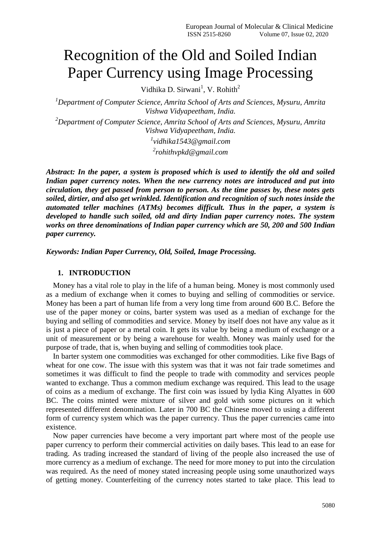# Recognition of the Old and Soiled Indian Paper Currency using Image Processing

Vidhika D. Sirwani<sup>1</sup>, V. Rohith<sup>2</sup>

*<sup>1</sup>Department of Computer Science, Amrita School of Arts and Sciences, Mysuru, Amrita Vishwa Vidyapeetham, India.*

*<sup>2</sup>Department of Computer Science, Amrita School of Arts and Sciences, Mysuru, Amrita Vishwa Vidyapeetham, India.*

*1 [vidhika1543@gmail.com](mailto:vidhika1543@gmail.com2)*

*2 [rohithvpkd@gmail.com](mailto:rohithvpkd@gmail.com1)*

*Abstract: In the paper, a system is proposed which is used to identify the old and soiled Indian paper currency notes. When the new currency notes are introduced and put into circulation, they get passed from person to person. As the time passes by, these notes gets soiled, dirtier, and also get wrinkled. Identification and recognition of such notes inside the automated teller machines (ATMs) becomes difficult. Thus in the paper, a system is developed to handle such soiled, old and dirty Indian paper currency notes. The system works on three denominations of Indian paper currency which are 50, 200 and 500 Indian paper currency.*

*Keywords: Indian Paper Currency, Old, Soiled, Image Processing.*

## **1. INTRODUCTION**

Money has a vital role to play in the life of a human being. Money is most commonly used as a medium of exchange when it comes to buying and selling of commodities or service. Money has been a part of human life from a very long time from around 600 B.C. Before the use of the paper money or coins, barter system was used as a median of exchange for the buying and selling of commodities and service. Money by itself does not have any value as it is just a piece of paper or a metal coin. It gets its value by being a medium of exchange or a unit of measurement or by being a warehouse for wealth. Money was mainly used for the purpose of trade, that is, when buying and selling of commodities took place.

In barter system one commodities was exchanged for other commodities. Like five Bags of wheat for one cow. The issue with this system was that it was not fair trade sometimes and sometimes it was difficult to find the people to trade with commodity and services people wanted to exchange. Thus a common medium exchange was required. This lead to the usage of coins as a medium of exchange. The first coin was issued by lydia King Alyattes in 600 BC. The coins minted were mixture of silver and gold with some pictures on it which represented different denomination. Later in 700 BC the Chinese moved to using a different form of currency system which was the paper currency. Thus the paper currencies came into existence.

Now paper currencies have become a very important part where most of the people use paper currency to perform their commercial activities on daily bases. This lead to an ease for trading. As trading increased the standard of living of the people also increased the use of more currency as a medium of exchange. The need for more money to put into the circulation was required. As the need of money stated increasing people using some unauthorized ways of getting money. Counterfeiting of the currency notes started to take place. This lead to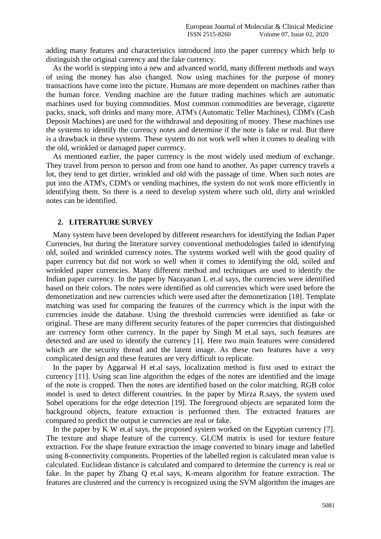adding many features and characteristics introduced into the paper currency which help to distinguish the original currency and the fake currency.

As the world is stepping into a new and advanced world, many different methods and ways of using the money has also changed. Now using machines for the purpose of money transactions have come into the picture. Humans are more dependent on machines rather than the human force. Vending machine are the future trading machines which are automatic machines used for buying commodities. Most common commodities are beverage, cigarette packs, snack, soft drinks and many more. ATM's (Automatic Teller Machines), CDM's (Cash Deposit Machines) are used for the withdrawal and depositing of money. These machines use the systems to identify the currency notes and determine if the note is fake or real. But there is a drawback in these systems. These system do not work well when it comes to dealing with the old, wrinkled or damaged paper currency.

As mentioned earlier, the paper currency is the most widely used medium of exchange. They travel from person to person and from one hand to another. As paper currency travels a lot, they tend to get dirtier, wrinkled and old with the passage of time. When such notes are put into the ATM's, CDM's or vending machines, the system do not work more efficiently in identifying them. So there is a need to develop system where such old, dirty and wrinkled notes can be identified.

#### **2. LITERATURE SURVEY**

Many system have been developed by different researchers for identifying the Indian Paper Currencies, but during the literature survey conventional methodologies failed in identifying old, soiled and wrinkled currency notes. The systems worked well with the good quality of paper currency but did not work so well when it comes to identifying the old, soiled and wrinkled paper currencies. Many different method and techniques are used to identify the Indian paper currency. In the paper by Narayanan L et.al says, the currencies were identified based on their colors. The notes were identified as old currencies which were used before the demonetization and new currencies which were used after the demonetization [18]. Template matching was used for comparing the features of the currency which is the input with the currencies inside the database. Using the threshold currencies were identified as fake or original. These are many different security features of the paper currencies that distinguished are currency form other currency. In the paper by Singh M et.al says, such features are detected and are used to identify the currency [1]. Here two main features were considered which are the security thread and the latent image. As these two features have a very complicated design and these features are very difficult to replicate.

In the paper by Aggarwal H et.al says, localization method is first used to extract the currency [11]. Using scan line algorithm the edges of the notes are identified and the image of the note is cropped. Then the notes are identified based on the color matching. RGB color model is used to detect different countries. In the paper by Mirza R.says, the system used Sobel operations for the edge detection [19]. The foreground objects are separated form the background objects, feature extraction is performed then. The extracted features are compared to predict the output ie currencies are real or fake.

In the paper by K W et.al says, the proposed system worked on the Egyptian currency [7]. The texture and shape feature of the currency. GLCM matrix is used for texture feature extraction. For the shape feature extraction the image converted to binary image and labelled using 8-connectivity components. Properties of the labelled region is calculated mean value is calculated. Euclidean distance is calculated and compared to determine the currency is real or fake. In the paper by Zhang Q et.al says, K-means algorithm for feature extraction. The features are clustered and the currency is recognized using the SVM algorithm the images are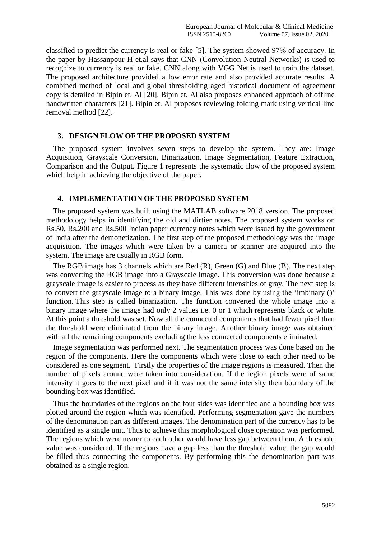classified to predict the currency is real or fake [5]. The system showed 97% of accuracy. In the paper by Hassanpour H et.al says that CNN (Convolution Neutral Networks) is used to recognize to currency is real or fake. CNN along with VGG Net is used to train the dataset. The proposed architecture provided a low error rate and also provided accurate results. A combined method of local and global thresholding aged historical document of agreement copy is detailed in Bipin et. Al [20]. Bipin et. Al also proposes enhanced approach of offline handwritten characters [21]. Bipin et. Al proposes reviewing folding mark using vertical line removal method [22].

#### **3. DESIGN FLOW OF THE PROPOSED SYSTEM**

The proposed system involves seven steps to develop the system. They are: Image Acquisition, Grayscale Conversion, Binarization, Image Segmentation, Feature Extraction, Comparison and the Output. Figure 1 represents the systematic flow of the proposed system which help in achieving the objective of the paper.

# **4. IMPLEMENTATION OF THE PROPOSED SYSTEM**

The proposed system was built using the MATLAB software 2018 version. The proposed methodology helps in identifying the old and dirtier notes. The proposed system works on Rs.50, Rs.200 and Rs.500 Indian paper currency notes which were issued by the government of India after the demonetization. The first step of the proposed methodology was the image acquisition. The images which were taken by a camera or scanner are acquired into the system. The image are usually in RGB form.

The RGB image has 3 channels which are Red (R), Green (G) and Blue (B). The next step was converting the RGB image into a Grayscale image. This conversion was done because a grayscale image is easier to process as they have different intensities of gray. The next step is to convert the grayscale image to a binary image. This was done by using the 'imbinary ()' function. This step is called binarization. The function converted the whole image into a binary image where the image had only 2 values i.e. 0 or 1 which represents black or white. At this point a threshold was set. Now all the connected components that had fewer pixel than the threshold were eliminated from the binary image. Another binary image was obtained with all the remaining components excluding the less connected components eliminated.

Image segmentation was performed next. The segmentation process was done based on the region of the components. Here the components which were close to each other need to be considered as one segment. Firstly the properties of the image regions is measured. Then the number of pixels around were taken into consideration. If the region pixels were of same intensity it goes to the next pixel and if it was not the same intensity then boundary of the bounding box was identified.

Thus the boundaries of the regions on the four sides was identified and a bounding box was plotted around the region which was identified. Performing segmentation gave the numbers of the denomination part as different images. The denomination part of the currency has to be identified as a single unit. Thus to achieve this morphological close operation was performed. The regions which were nearer to each other would have less gap between them. A threshold value was considered. If the regions have a gap less than the threshold value, the gap would be filled thus connecting the components. By performing this the denomination part was obtained as a single region.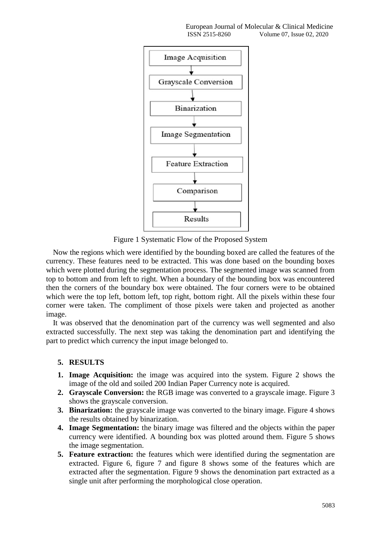

Figure 1 Systematic Flow of the Proposed System

Now the regions which were identified by the bounding boxed are called the features of the currency. These features need to be extracted. This was done based on the bounding boxes which were plotted during the segmentation process. The segmented image was scanned from top to bottom and from left to right. When a boundary of the bounding box was encountered then the corners of the boundary box were obtained. The four corners were to be obtained which were the top left, bottom left, top right, bottom right. All the pixels within these four corner were taken. The compliment of those pixels were taken and projected as another image.

It was observed that the denomination part of the currency was well segmented and also extracted successfully. The next step was taking the denomination part and identifying the part to predict which currency the input image belonged to.

# **5. RESULTS**

- **1. Image Acquisition:** the image was acquired into the system. Figure 2 shows the image of the old and soiled 200 Indian Paper Currency note is acquired.
- **2. Grayscale Conversion:** the RGB image was converted to a grayscale image. Figure 3 shows the grayscale conversion.
- **3. Binarization:** the grayscale image was converted to the binary image. Figure 4 shows the results obtained by binarization.
- **4. Image Segmentation:** the binary image was filtered and the objects within the paper currency were identified. A bounding box was plotted around them. Figure 5 shows the image segmentation.
- **5. Feature extraction:** the features which were identified during the segmentation are extracted. Figure 6, figure 7 and figure 8 shows some of the features which are extracted after the segmentation. Figure 9 shows the denomination part extracted as a single unit after performing the morphological close operation.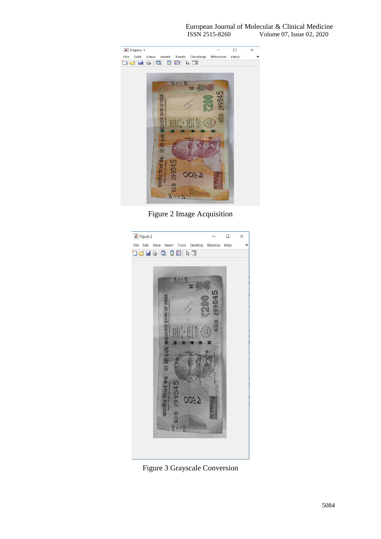

Figure 2 Image Acquisition



Figure 3 Grayscale Conversion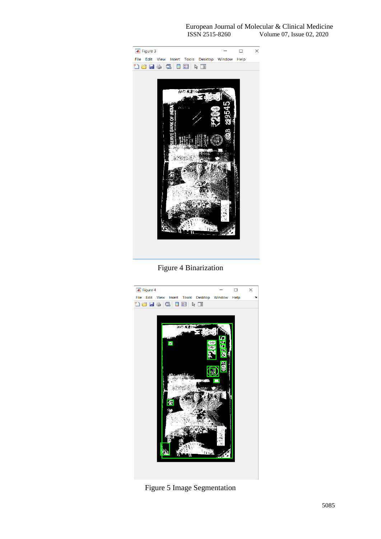

Figure 4 Binarization



Figure 5 Image Segmentation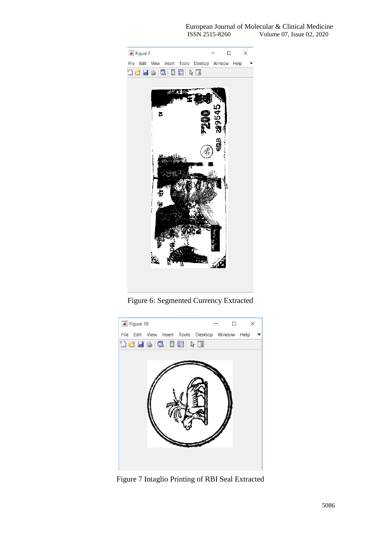

Figure 6: Segmented Currency Extracted



Figure 7 Intaglio Printing of RBI Seal Extracted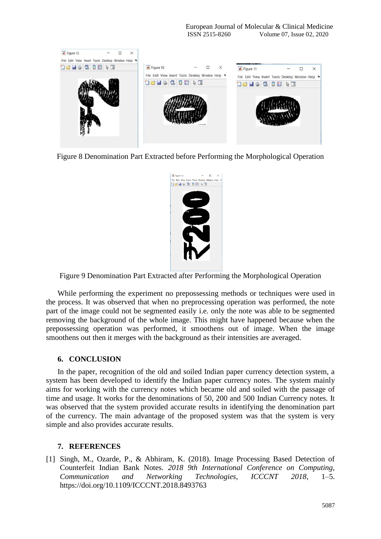

Figure 8 Denomination Part Extracted before Performing the Morphological Operation



Figure 9 Denomination Part Extracted after Performing the Morphological Operation

While performing the experiment no prepossessing methods or techniques were used in the process. It was observed that when no preprocessing operation was performed, the note part of the image could not be segmented easily i.e. only the note was able to be segmented removing the background of the whole image. This might have happened because when the prepossessing operation was performed, it smoothens out of image. When the image smoothens out then it merges with the background as their intensities are averaged.

## **6. CONCLUSION**

In the paper, recognition of the old and soiled Indian paper currency detection system, a system has been developed to identify the Indian paper currency notes. The system mainly aims for working with the currency notes which became old and soiled with the passage of time and usage. It works for the denominations of 50, 200 and 500 Indian Currency notes. It was observed that the system provided accurate results in identifying the denomination part of the currency. The main advantage of the proposed system was that the system is very simple and also provides accurate results.

## **7. REFERENCES**

[1] Singh, M., Ozarde, P., & Abhiram, K. (2018). Image Processing Based Detection of Counterfeit Indian Bank Notes. *2018 9th International Conference on Computing, Communication and Networking Technologies, ICCCNT 2018*, 1–5. https://doi.org/10.1109/ICCCNT.2018.8493763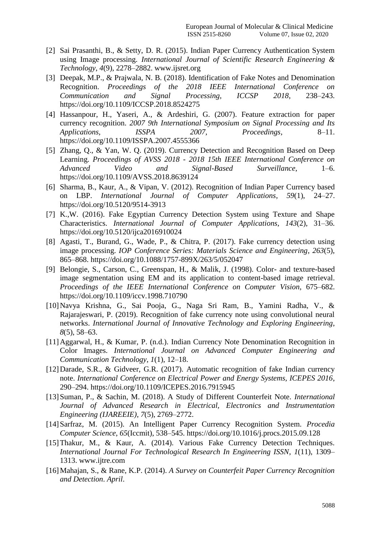- [2] Sai Prasanthi, B., & Setty, D. R. (2015). Indian Paper Currency Authentication System using Image processing. *International Journal of Scientific Research Engineering & Technology*, *4*(9), 2278–2882. www.ijsret.org
- [3] Deepak, M.P., & Prajwala, N. B. (2018). Identification of Fake Notes and Denomination Recognition. *Proceedings of the 2018 IEEE International Conference on Communication and Signal Processing, ICCSP 2018*, 238–243. https://doi.org/10.1109/ICCSP.2018.8524275
- [4] Hassanpour, H., Yaseri, A., & Ardeshiri, G. (2007). Feature extraction for paper currency recognition. *2007 9th International Symposium on Signal Processing and Its Applications, ISSPA 2007, Proceedings*, 8–11. https://doi.org/10.1109/ISSPA.2007.4555366
- [5] Zhang, Q., & Yan, W. Q. (2019). Currency Detection and Recognition Based on Deep Learning. *Proceedings of AVSS 2018 - 2018 15th IEEE International Conference on Advanced Video and Signal-Based Surveillance*, 1–6. https://doi.org/10.1109/AVSS.2018.8639124
- [6] Sharma, B., Kaur, A., & Vipan, V. (2012). Recognition of Indian Paper Currency based on LBP. *International Journal of Computer Applications*, *59*(1), 24–27. https://doi.org/10.5120/9514-3913
- [7] K.,W. (2016). Fake Egyptian Currency Detection System using Texture and Shape Characteristics. *International Journal of Computer Applications*, *143*(2), 31–36. https://doi.org/10.5120/ijca2016910024
- [8] Agasti, T., Burand, G., Wade, P., & Chitra, P. (2017). Fake currency detection using image processing. *IOP Conference Series: Materials Science and Engineering*, *263*(5), 865–868. https://doi.org/10.1088/1757-899X/263/5/052047
- [9] Belongie, S., Carson, C., Greenspan, H., & Malik, J. (1998). Color- and texture-based image segmentation using EM and its application to content-based image retrieval. *Proceedings of the IEEE International Conference on Computer Vision*, 675–682. https://doi.org/10.1109/iccv.1998.710790
- [10]Navya Krishna, G., Sai Pooja, G., Naga Sri Ram, B., Yamini Radha, V., & Rajarajeswari, P. (2019). Recognition of fake currency note using convolutional neural networks. *International Journal of Innovative Technology and Exploring Engineering*, *8*(5), 58–63.
- [11]Aggarwal, H., & Kumar, P. (n.d.). Indian Currency Note Denomination Recognition in Color Images. *International Journal on Advanced Computer Engineering and Communication Technology*, *1*(1), 12–18.
- [12]Darade, S.R., & Gidveer, G.R. (2017). Automatic recognition of fake Indian currency note. *International Conference on Electrical Power and Energy Systems, ICEPES 2016*, 290–294. https://doi.org/10.1109/ICEPES.2016.7915945
- [13]Suman, P., & Sachin, M. (2018). A Study of Different Counterfeit Note. *International Journal of Advanced Research in Electrical, Electronics and Instrumentation Engineering (IJAREEIE)*, *7*(5), 2769–2772.
- [14]Sarfraz, M. (2015). An Intelligent Paper Currency Recognition System. *Procedia Computer Science*, *65*(Iccmit), 538–545. https://doi.org/10.1016/j.procs.2015.09.128
- [15] Thakur, M., & Kaur, A. (2014). Various Fake Currency Detection Techniques. *International Journal For Technological Research In Engineering ISSN*, *1*(11), 1309– 1313. www.ijtre.com
- [16]Mahajan, S., & Rane, K.P. (2014). *A Survey on Counterfeit Paper Currency Recognition and Detection*. *April*.